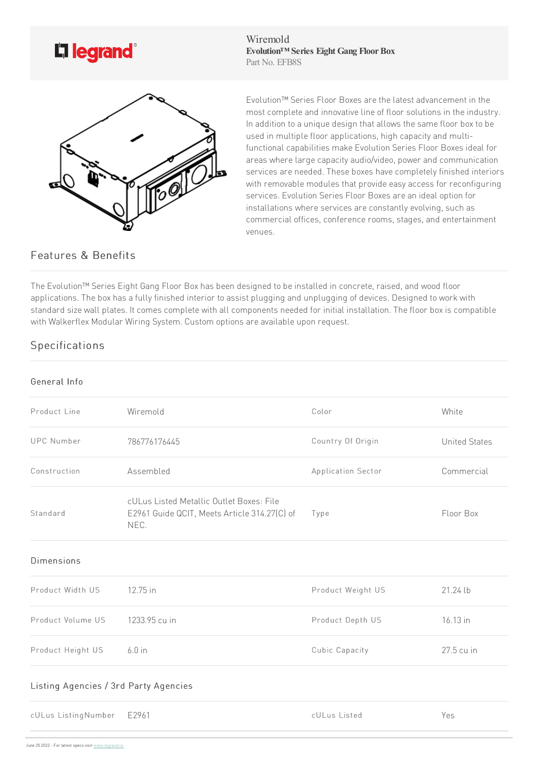

Wiremold **Evolution™ Series Eight Gang FloorBox** Part No. EFB8S



Evolution™ Series Floor Boxes are the latest advancement in the most complete and innovative line of floor solutions in the industry. In addition to a unique design that allows the same floor box to be used in multiple floor applications, high capacity and multifunctional capabilities make Evolution Series Floor Boxes ideal for areas where large capacity audio/video, power and communication services are needed. These boxes have completely finished interiors with removable modules that provide easy access for reconfiguring services. Evolution Series Floor Boxes are an ideal option for installations where services are constantly evolving, such as commercial offices, conference rooms, stages, and entertainment venues.

## Features & Benefits

The Evolution™ Series Eight Gang Floor Box has been designed to be installed in concrete, raised, and wood floor applications. The box has a fully finished interior to assist plugging and unplugging of devices. Designed to work with standard size wall plates. It comes complete with all components needed for initial installation. The floor box is compatible with Walkerflex Modular Wiring System. Custom options are available upon request.

## Specifications

## General Info

| Product Line                          | Wiremold                                                                                         | Color              | White                |  |
|---------------------------------------|--------------------------------------------------------------------------------------------------|--------------------|----------------------|--|
| <b>UPC Number</b>                     | 786776176445                                                                                     | Country Of Origin  | <b>United States</b> |  |
| Construction                          | Assembled                                                                                        | Application Sector | Commercial           |  |
| Standard                              | cULus Listed Metallic Outlet Boxes: File<br>E2961 Guide QCIT, Meets Article 314.27(C) of<br>NEC. | Type               | Floor Box            |  |
| <b>Dimensions</b>                     |                                                                                                  |                    |                      |  |
| Product Width US                      | 12.75 in                                                                                         | Product Weight US  | 21.24 lb             |  |
| Product Volume US                     | 1233.95 cu in                                                                                    | Product Depth US   | 16.13 in             |  |
| Product Height US                     | $6.0$ in                                                                                         | Cubic Capacity     | 27.5 cu in           |  |
| Listing Agencies / 3rd Party Agencies |                                                                                                  |                    |                      |  |
| cULus ListingNumber E2961             |                                                                                                  | cULus Listed       | Yes                  |  |
|                                       |                                                                                                  |                    |                      |  |